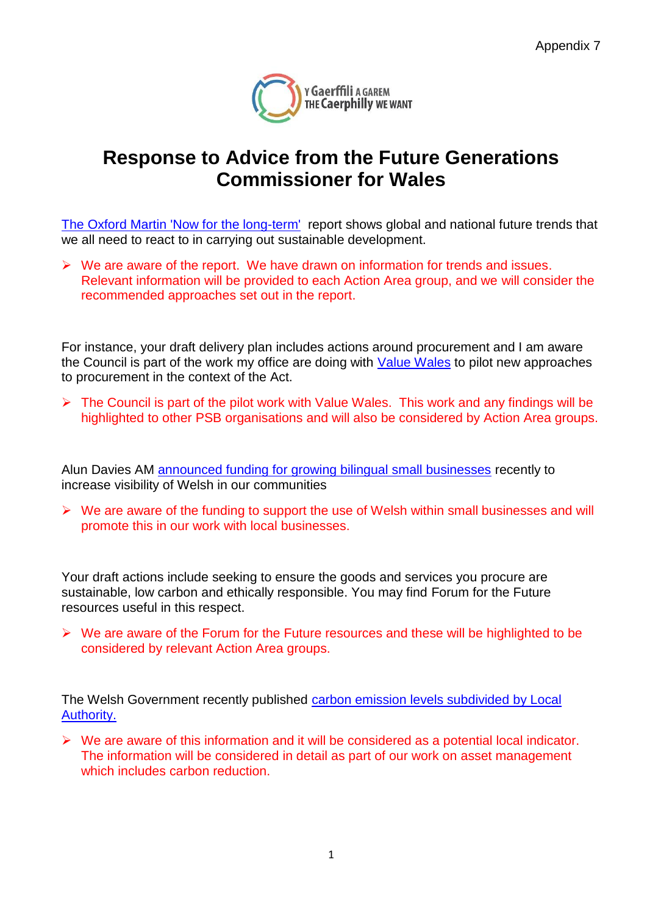

## **Response to Advice from the Future Generations Commissioner for Wales**

[The Oxford Martin 'Now for the long-term'](https://www.oxfordmartin.ox.ac.uk/downloads/commission/Oxford_Martin_Now_for_the_Long_Term.pdf) report shows global and national future trends that we all need to react to in carrying out sustainable development.

 $\triangleright$  We are aware of the report. We have drawn on information for trends and issues. Relevant information will be provided to each Action Area group, and we will consider the recommended approaches set out in the report.

For instance, your draft delivery plan includes actions around procurement and I am aware the Council is part of the work my office are doing with [Value Wales](https://gov.wales/topics/improvingservices/bettervfm/?lang=en) to pilot new approaches to procurement in the context of the Act.

 $\triangleright$  The Council is part of the pilot work with Value Wales. This work and any findings will be highlighted to other PSB organisations and will also be considered by Action Area groups.

Alun Davies AM [announced funding for growing bilingual small businesses](https://gov.wales/newsroom/welshlanguage/2017/support-use-of-welsh-within-small-businesses/?lang=en) recently to increase visibility of Welsh in our communities

 $\triangleright$  We are aware of the funding to support the use of Welsh within small businesses and will promote this in our work with local businesses.

Your draft actions include seeking to ensure the goods and services you procure are sustainable, low carbon and ethically responsible. You may find Forum for the Future resources useful in this respect.

 $\triangleright$  We are aware of the Forum for the Future resources and these will be highlighted to be considered by relevant Action Area groups.

The Welsh Government recently published carbon emission levels subdivided by Local [Authority.](https://gov.wales/topics/environmentcountryside/climatechange/welsh-emissions/?lang=en)

 $\triangleright$  We are aware of this information and it will be considered as a potential local indicator. The information will be considered in detail as part of our work on asset management which includes carbon reduction.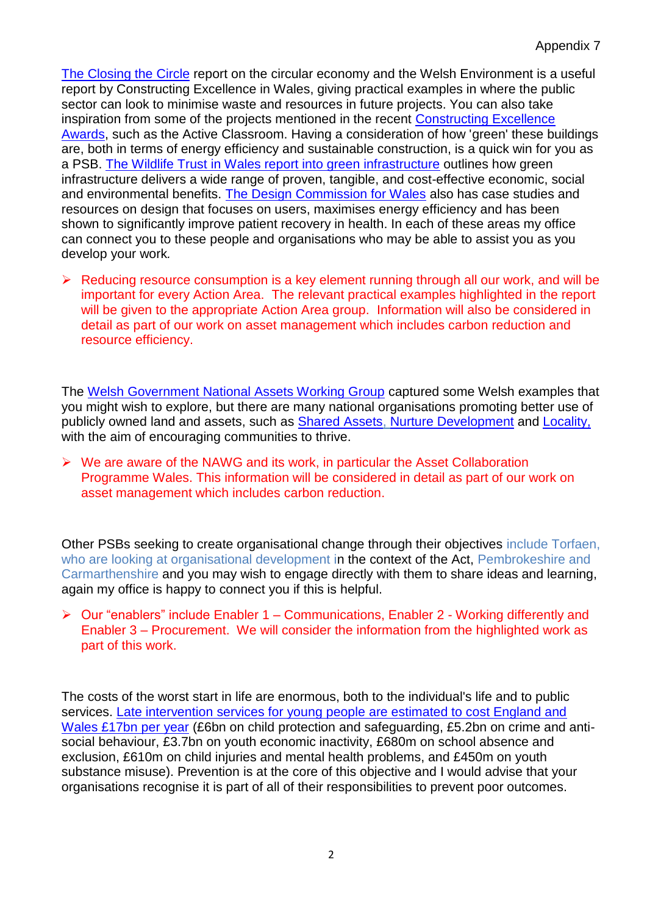[The Closing the Circle](http://www.cewales.org.uk/files/4214/9372/0980/Closing_the_circle_Circular_economy_Opportunity_for_the_welsh_built_environment_Report.pdf) report on the circular economy and the Welsh Environment is a useful report by Constructing Excellence in Wales, giving practical examples in where the public sector can look to minimise waste and resources in future projects. You can also take inspiration from some of the projects mentioned in the recent [Constructing Excellence](http://www.cewales.org.uk/files/8915/0227/7838/CEW_Awards_2017_winners_brochure_-_July_2017.pdf)  [Awards,](http://www.cewales.org.uk/files/8915/0227/7838/CEW_Awards_2017_winners_brochure_-_July_2017.pdf) such as the Active Classroom. Having a consideration of how 'green' these buildings are, both in terms of energy efficiency and sustainable construction, is a quick win for you as a PSB. [The Wildlife Trust in Wales report into green infrastructure](http://www.wtwales.org/greeninfrastructure) outlines how green infrastructure delivers a wide range of proven, tangible, and cost-effective economic, social and environmental benefits. [The Design Commission for Wales](https://dcfw.org/about/) also has case studies and resources on design that focuses on users, maximises energy efficiency and has been shown to significantly improve patient recovery in health. In each of these areas my office can connect you to these people and organisations who may be able to assist you as you develop your work*.*

 $\triangleright$  Reducing resource consumption is a key element running through all our work, and will be important for every Action Area. The relevant practical examples highlighted in the report will be given to the appropriate Action Area group. Information will also be considered in detail as part of our work on asset management which includes carbon reduction and resource efficiency.

The [Welsh Government National Assets Working Group](https://gov.wales/topics/improvingservices/assets-cymru/national-assets-working-group/?lang=enhttps://gov.wales/topics/improvingservices/assets-cymru/national-assets-working-group/?lang=en) captured some Welsh examples that you might wish to explore, but there are many national organisations promoting better use of publicly owned land and assets, such as [Shared Assets,](http://www.sharedassets.org.uk/what-we-do/http:/www.sharedassets.org.uk/what-we-do/) [Nurture Development](http://www.nurturedevelopment.org/reports/) and [Locality,](http://locality.org.uk/services-tools/support-for-community-organisations/ownership-and-management-of-land-and-buildings/http:/locality.org.uk/services-tools/support-for-community-organisations/ownership-and-management-of-land-and-buildings/) with the aim of encouraging communities to thrive.

 $\triangleright$  We are aware of the NAWG and its work, in particular the Asset Collaboration Programme Wales. This information will be considered in detail as part of our work on asset management which includes carbon reduction.

Other PSBs seeking to create organisational change through their objectives include Torfaen, who are looking at organisational development in the context of the Act, Pembrokeshire and Carmarthenshire and you may wish to engage directly with them to share ideas and learning, again my office is happy to connect you if this is helpful.

▶ Our "enablers" include Enabler 1 – Communications, Enabler 2 - Working differently and Enabler 3 – Procurement. We will consider the information from the highlighted work as part of this work.

The costs of the worst start in life are enormous, both to the individual's life and to public services. [Late intervention services for young people are estimated to cost England and](http://www.eif.org.uk/wp-content/uploads/2015/02/SPENDING-ON-LATE-INTERVENTION.pdf)  [Wales £17bn per year](http://www.eif.org.uk/wp-content/uploads/2015/02/SPENDING-ON-LATE-INTERVENTION.pdf) (£6bn on child protection and safeguarding, £5.2bn on crime and antisocial behaviour, £3.7bn on youth economic inactivity, £680m on school absence and exclusion, £610m on child injuries and mental health problems, and £450m on youth substance misuse). Prevention is at the core of this objective and I would advise that your organisations recognise it is part of all of their responsibilities to prevent poor outcomes.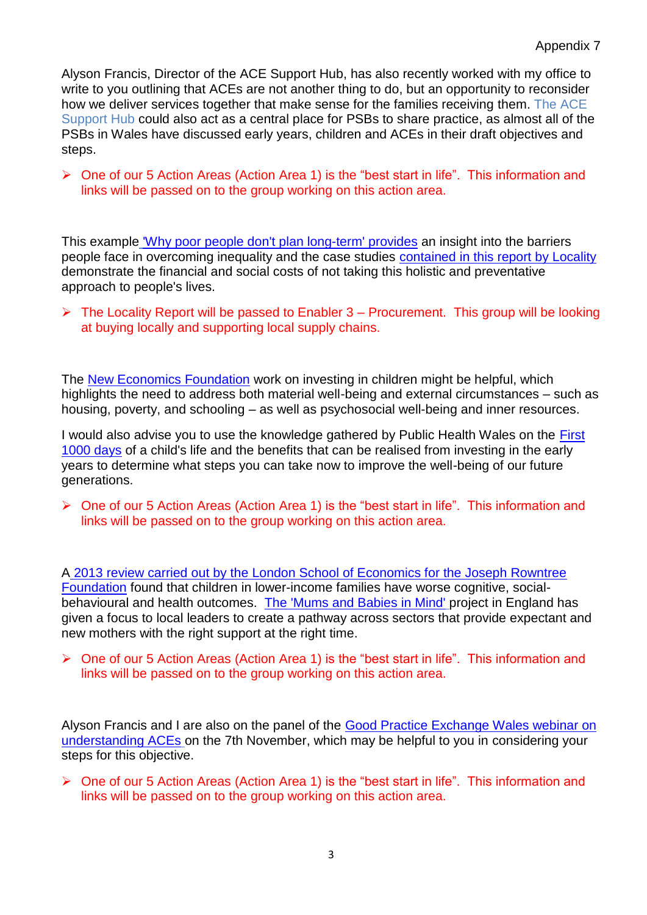Alyson Francis, Director of the ACE Support Hub, has also recently worked with my office to write to you outlining that ACEs are not another thing to do, but an opportunity to reconsider how we deliver services together that make sense for the families receiving them. The ACE Support Hub could also act as a central place for PSBs to share practice, as almost all of the PSBs in Wales have discussed early years, children and ACEs in their draft objectives and steps.

▶ One of our 5 Action Areas (Action Area 1) is the "best start in life". This information and links will be passed on to the group working on this action area.

This example ['Why poor people don't plan long-term' provides](https://www.theguardian.com/society/2014/sep/21/linda-tirado-poverty-hand-to-mouth-extract) an insight into the barriers people face in overcoming inequality and the case studies [contained in this report by Locality](http://locality.org.uk/about/key-publications/) demonstrate the financial and social costs of not taking this holistic and preventative approach to people's lives.

 $\triangleright$  The Locality Report will be passed to Enabler 3 – Procurement. This group will be looking at buying locally and supporting local supply chains.

The [New Economics Foundation](http://neweconomics.org/2009/09/backing-the-future/) work on investing in children might be helpful, which highlights the need to address both material well-being and external circumstances – such as housing, poverty, and schooling – as well as psychosocial well-being and inner resources.

I would also advise you to use the knowledge gathered by Public Health Wales on the [First](http://www.wales.nhs.uk/sitesplus/888/page/88523)  [1000 days](http://www.wales.nhs.uk/sitesplus/888/page/88523) of a child's life and the benefits that can be realised from investing in the early years to determine what steps you can take now to improve the well-being of our future generations.

▶ One of our 5 Action Areas (Action Area 1) is the "best start in life". This information and links will be passed on to the group working on this action area.

A 2013 review [carried out by the London School of Economics for the Joseph Rowntree](http://www.lse.ac.uk/News/Latest-news-from-LSE/2017/07-July-2017/Income-directly-affects-childrens-outcomes)  [Foundation](http://www.lse.ac.uk/News/Latest-news-from-LSE/2017/07-July-2017/Income-directly-affects-childrens-outcomes) found that children in lower-income families have worse cognitive, socialbehavioural and health outcomes. [The 'Mums and Babies in Mind'](https://maternalmentalhealthalliance.org/about/) project in England has given a focus to local leaders to create a pathway across sectors that provide expectant and new mothers with the right support at the right time.

 One of our 5 Action Areas (Action Area 1) is the "best start in life". This information and links will be passed on to the group working on this action area.

Alyson Francis and I are also on the panel of the [Good Practice Exchange Wales webinar on](https://www.audit.wales/events/how-understanding-adverse-childhood-experiences-aces-can-help-integrated-service-delivery)  [understanding ACEs](https://www.audit.wales/events/how-understanding-adverse-childhood-experiences-aces-can-help-integrated-service-delivery) on the 7th November, which may be helpful to you in considering your steps for this objective.

▶ One of our 5 Action Areas (Action Area 1) is the "best start in life". This information and links will be passed on to the group working on this action area.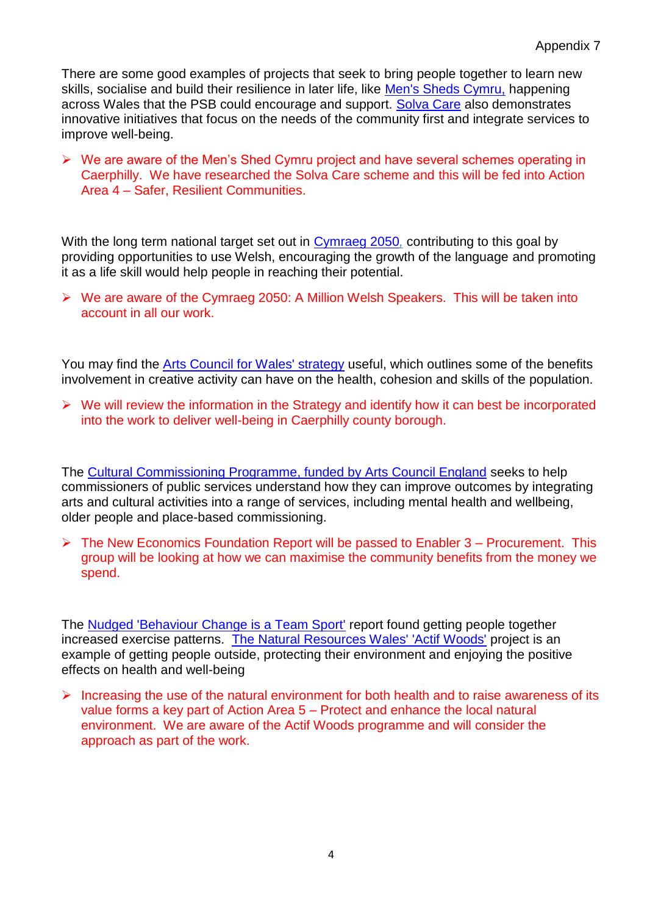There are some good examples of projects that seek to bring people together to learn new skills, socialise and build their resilience in later life, like [Men's Sheds Cymru,](http://www.mensshedscymru.co.uk/) happening across Wales that the PSB could encourage and support. [Solva Care](http://solvacare.co.uk/) also demonstrates innovative initiatives that focus on the needs of the community first and integrate services to improve well-being.

 $\triangleright$  We are aware of the Men's Shed Cymru project and have several schemes operating in Caerphilly. We have researched the Solva Care scheme and this will be fed into Action Area 4 – Safer, Resilient Communities.

With the long term national target set out in [Cymraeg 2050](https://gov.wales/topics/welshlanguage/welsh-language-strategy-and-policies/cymraeg-2050-welsh-language-strategy/?lang=en)*,* contributing to this goal by providing opportunities to use Welsh, encouraging the growth of the language and promoting it as a life skill would help people in reaching their potential.

 We are aware of the Cymraeg 2050: A Million Welsh Speakers. This will be taken into account in all our work.

You may find the [Arts Council for Wales' strategy](http://www.arts.wales/about-us/plans-and-strategies/inspire) useful, which outlines some of the benefits involvement in creative activity can have on the health, cohesion and skills of the population.

 $\triangleright$  We will review the information in the Strategy and identify how it can best be incorporated into the work to deliver well-being in Caerphilly county borough.

The [Cultural Commissioning Programme, funded by Arts Council England](http://neweconomics.org/2016/05/the-art-of-commissioning/) seeks to help commissioners of public services understand how they can improve outcomes by integrating arts and cultural activities into a range of services, including mental health and wellbeing, older people and place-based commissioning.

 $\triangleright$  The New Economics Foundation Report will be passed to Enabler 3 – Procurement. This group will be looking at how we can maximise the community benefits from the money we spend.

The Nudged ['Behaviour Change is a Team Sport'](https://nudjed.com/) report found getting people together increased exercise patterns. [The Natural Resources Wales' 'Actif Woods'](https://www.youtube.com/watch?v=sXAqO6VW2w4) project is an example of getting people outside, protecting their environment and enjoying the positive effects on health and well-being

 $\triangleright$  Increasing the use of the natural environment for both health and to raise awareness of its value forms a key part of Action Area 5 – Protect and enhance the local natural environment. We are aware of the Actif Woods programme and will consider the approach as part of the work.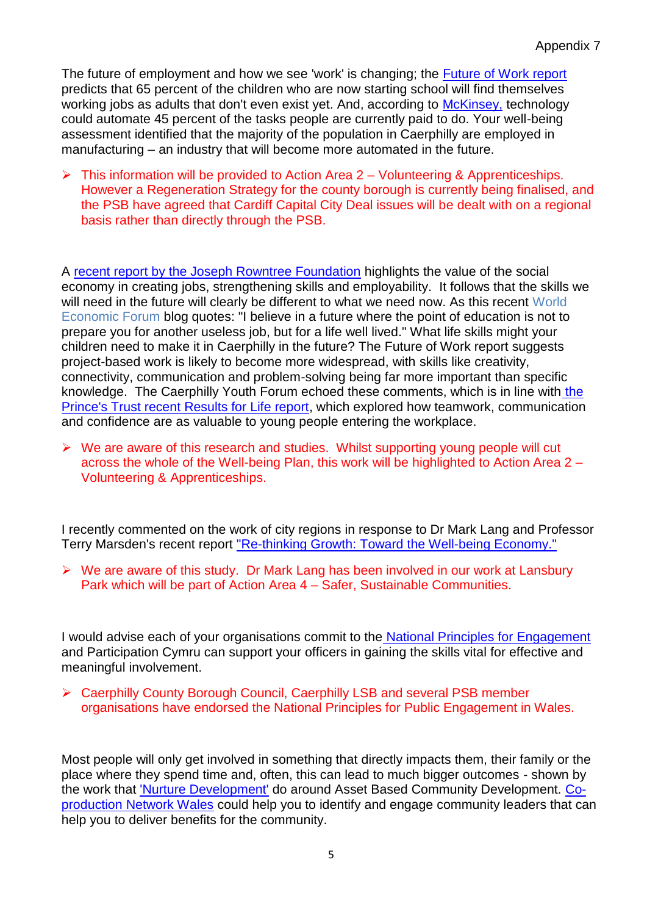The future of employment and how we see 'work' is changing; the **Future of Work report** predicts that 65 percent of the children who are now starting school will find themselves working jobs as adults that don't even exist yet. And, according to [McKinsey,](https://www.mckinsey.com/) technology could automate 45 percent of the tasks people are currently paid to do. Your well-being assessment identified that the majority of the population in Caerphilly are employed in manufacturing – an industry that will become more automated in the future.

 $\triangleright$  This information will be provided to Action Area 2 – Volunteering & Apprenticeships. However a Regeneration Strategy for the county borough is currently being finalised, and the PSB have agreed that Cardiff Capital City Deal issues will be dealt with on a regional basis rather than directly through the PSB.

A [recent report by the Joseph Rowntree Foundation](https://www.jrf.org.uk/report/cities-social-economy-and-inclusive-growth) highlights the value of the social economy in creating jobs, strengthening skills and employability. It follows that the skills we will need in the future will clearly be different to what we need now. As this recent World Economic Forum blog quotes: "I believe in a future where the point of education is not to prepare you for another useless job, but for a life well lived." What life skills might your children need to make it in Caerphilly in the future? The Future of Work report suggests project-based work is likely to become more widespread, with skills like creativity, connectivity, communication and problem-solving being far more important than specific knowledge. The Caerphilly Youth Forum echoed these comments, which is in line with [the](https://www.princes-trust.org.uk/about-the-trust/research-policies-reports/education-report-2017)  [Prince's Trust recent Results for Life report,](https://www.princes-trust.org.uk/about-the-trust/research-policies-reports/education-report-2017) which explored how teamwork, communication and confidence are as valuable to young people entering the workplace.

 $\triangleright$  We are aware of this research and studies. Whilst supporting young people will cut across the whole of the Well-being Plan, this work will be highlighted to Action Area 2 – Volunteering & Apprenticeships.

I recently commented on the work of city regions in response to Dr Mark Lang and Professor Terry Marsden's recent report ["Re-thinking Growth: Toward the Well-being Economy."](http://www.cardiff.ac.uk/news/view/923006-rethinking-growth)

 $\triangleright$  We are aware of this study. Dr Mark Lang has been involved in our work at Lansbury Park which will be part of Action Area 4 – Safer, Sustainable Communities.

I would advise each of your organisations commit to the [National Principles for Engagement](https://participation.cymru/en/principles/) and Participation Cymru can support your officers in gaining the skills vital for effective and meaningful involvement.

▶ Caerphilly County Borough Council, Caerphilly LSB and several PSB member organisations have endorsed the National Principles for Public Engagement in Wales.

Most people will only get involved in something that directly impacts them, their family or the place where they spend time and, often, this can lead to much bigger outcomes - shown by the work that ['Nurture Development'](http://www.nurturedevelopment.org/reports/) do around Asset Based Community Development. [Co](https://copronet.wales/)[production Network Wales](https://copronet.wales/) could help you to identify and engage community leaders that can help you to deliver benefits for the community.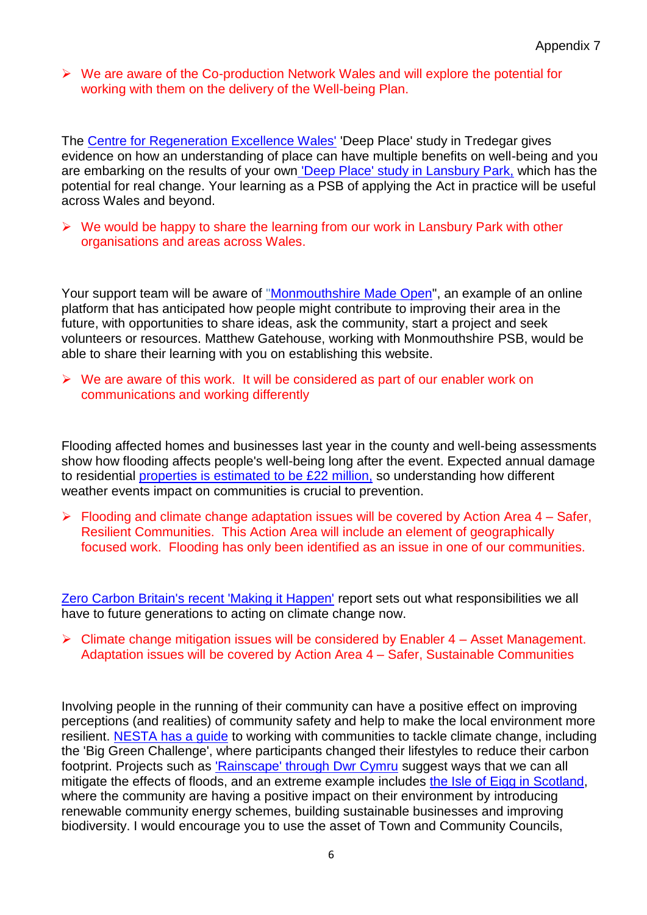We are aware of the Co-production Network Wales and will explore the potential for working with them on the delivery of the Well-being Plan.

The [Centre for Regeneration Excellence Wales'](http://www.regenwales.org/project_9_The--Deep-Place--Study) 'Deep Place' study in Tredegar gives evidence on how an understanding of place can have multiple benefits on well-being and you are embarking on the results of your own ['Deep Place' study in Lansbury Park,](http://www.bbc.co.uk/news/uk-wales-39457860) which has the potential for real change. Your learning as a PSB of applying the Act in practice will be useful across Wales and beyond.

 $\triangleright$  We would be happy to share the learning from our work in Lansbury Park with other organisations and areas across Wales.

Your support team will be aware of ["Monmouthshire Made Open"](https://monmouthshire.madeopen.co.uk/), an example of an online platform that has anticipated how people might contribute to improving their area in the future, with opportunities to share ideas, ask the community, start a project and seek volunteers or resources. Matthew Gatehouse, working with Monmouthshire PSB, would be able to share their learning with you on establishing this website.

 $\triangleright$  We are aware of this work. It will be considered as part of our enabler work on communications and working differently

Flooding affected homes and businesses last year in the county and well-being assessments show how flooding affects people's well-being long after the event. Expected annual damage to residential [properties is estimated to be £22 million,](https://www.theccc.org.uk/wp-content/uploads/2016/07/UK-CCRA-2017-Wales-National-Summary.pdf) so understanding how different weather events impact on communities is crucial to prevention.

 $\triangleright$  Flooding and climate change adaptation issues will be covered by Action Area 4 – Safer, Resilient Communities. This Action Area will include an element of geographically focused work. Flooding has only been identified as an issue in one of our communities.

[Zero Carbon Britain's recent 'Making it Happen'](http://www.zerocarbonbritain.org/images/pdfs/ZeroCarbonBritain-MakingItHappen.pdf) report sets out what responsibilities we all have to future generations to acting on climate change now.

 $\triangleright$  Climate change mitigation issues will be considered by Enabler 4 – Asset Management. Adaptation issues will be covered by Action Area 4 – Safer, Sustainable Communities

Involving people in the running of their community can have a positive effect on improving perceptions (and realities) of community safety and help to make the local environment more resilient. [NESTA has a guide](https://www.nesta.org.uk/sites/default/files/working_with_communities_to_tackle_climate_change.pdf) to working with communities to tackle climate change, including the 'Big Green Challenge', where participants changed their lifestyles to reduce their carbon footprint. Projects such as ['Rainscape' through Dwr Cymru](https://www.dwrcymru.com/en/My-Wastewater/RainScape/What-can-you-do-to-help.aspx) suggest ways that we can all mitigate the effects of floods, and an extreme example includes [the Isle of Eigg in Scotland,](http://theconversation.com/what-other-communities-can-learn-from-this-islander-buy-out-in-scotlands-hebrides-75896) where the community are having a positive impact on their environment by introducing renewable community energy schemes, building sustainable businesses and improving biodiversity. I would encourage you to use the asset of Town and Community Councils,